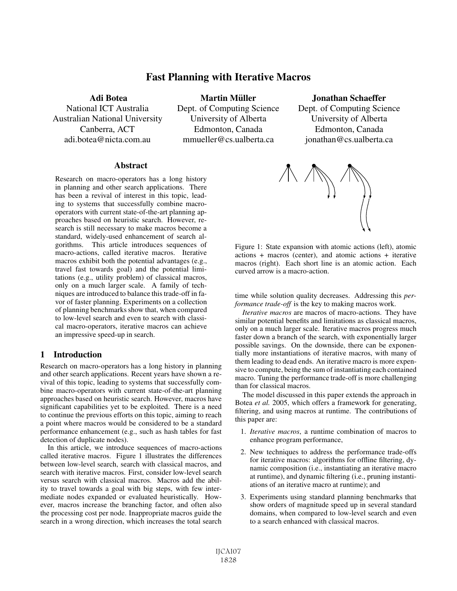# Fast Planning with Iterative Macros

Adi Botea

National ICT Australia Australian National University Canberra, ACT adi.botea@nicta.com.au

Martin Müller Dept. of Computing Science University of Alberta Edmonton, Canada mmueller@cs.ualberta.ca

Jonathan Schaeffer

Dept. of Computing Science University of Alberta Edmonton, Canada jonathan@cs.ualberta.ca

#### **Abstract**

Research on macro-operators has a long history in planning and other search applications. There has been a revival of interest in this topic, leading to systems that successfully combine macrooperators with current state-of-the-art planning approaches based on heuristic search. However, research is still necessary to make macros become a standard, widely-used enhancement of search algorithms. This article introduces sequences of macro-actions, called iterative macros. Iterative macros exhibit both the potential advantages (e.g., travel fast towards goal) and the potential limitations (e.g., utility problem) of classical macros, only on a much larger scale. A family of techniques are introduced to balance this trade-off in favor of faster planning. Experiments on a collection of planning benchmarks show that, when compared to low-level search and even to search with classical macro-operators, iterative macros can achieve an impressive speed-up in search.

### 1 Introduction

Research on macro-operators has a long history in planning and other search applications. Recent years have shown a revival of this topic, leading to systems that successfully combine macro-operators with current state-of-the-art planning approaches based on heuristic search. However, macros have significant capabilities yet to be exploited. There is a need to continue the previous efforts on this topic, aiming to reach a point where macros would be considered to be a standard performance enhancement (e.g., such as hash tables for fast detection of duplicate nodes).

In this article, we introduce sequences of macro-actions called iterative macros. Figure 1 illustrates the differences between low-level search, search with classical macros, and search with iterative macros. First, consider low-level search versus search with classical macros. Macros add the ability to travel towards a goal with big steps, with few intermediate nodes expanded or evaluated heuristically. However, macros increase the branching factor, and often also the processing cost per node. Inappropriate macros guide the search in a wrong direction, which increases the total search



Figure 1: State expansion with atomic actions (left), atomic actions + macros (center), and atomic actions + iterative macros (right). Each short line is an atomic action. Each curved arrow is a macro-action.

time while solution quality decreases. Addressing this *performance trade-off* is the key to making macros work.

*Iterative macros* are macros of macro-actions. They have similar potential benefits and limitations as classical macros, only on a much larger scale. Iterative macros progress much faster down a branch of the search, with exponentially larger possible savings. On the downside, there can be exponentially more instantiations of iterative macros, with many of them leading to dead ends. An iterative macro is more expensive to compute, being the sum of instantiating each contained macro. Tuning the performance trade-off is more challenging than for classical macros.

The model discussed in this paper extends the approach in Botea *et al.* 2005, which offers a framework for generating, filtering, and using macros at runtime. The contributions of this paper are:

- 1. *Iterative macros*, a runtime combination of macros to enhance program performance,
- 2. New techniques to address the performance trade-offs for iterative macros: algorithms for offline filtering, dynamic composition (i.e., instantiating an iterative macro at runtime), and dynamic filtering (i.e., pruning instantiations of an iterative macro at runtime); and
- 3. Experiments using standard planning benchmarks that show orders of magnitude speed up in several standard domains, when compared to low-level search and even to a search enhanced with classical macros.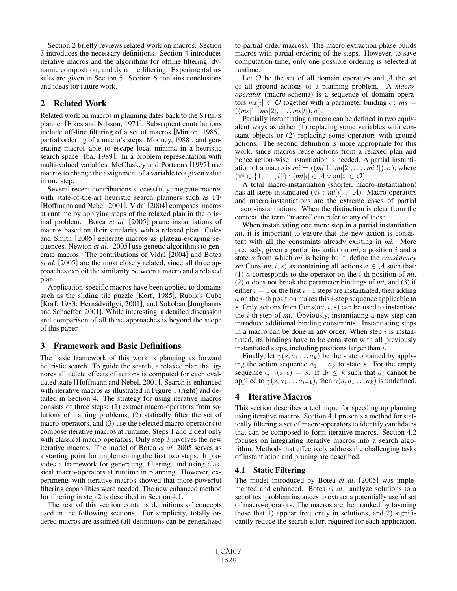Section 2 briefly reviews related work on macros. Section 3 introduces the necessary definitions. Section 4 introduces iterative macros and the algorithms for offline filtering, dynamic composition, and dynamic filtering. Experimental results are given in Section 5. Section 6 contains conclusions and ideas for future work.

# 2 Related Work

Related work on macros in planning dates back to the STRIPS planner [Fikes and Nilsson, 1971]. Subsequent contributions include off-line filtering of a set of macros [Minton, 1985], partial ordering of a macro's steps [Mooney, 1988], and generating macros able to escape local minima in a heuristic search space [Iba, 1989]. In a problem representation with multi-valued variables, McCluskey and Porteous [1997] use macros to change the assignment of a variable to a given value in one step.

Several recent contributions successfully integrate macros with state-of-the-art heuristic search planners such as FF [Hoffmann and Nebel, 2001]. Vidal [2004] composes macros at runtime by applying steps of the relaxed plan in the original problem. Botea *et al.* [2005] prune instantiations of macros based on their similarity with a relaxed plan. Coles and Smith [2005] generate macros as plateau-escaping sequences. Newton *et al.* [2005] use genetic algorithms to generate macros. The contributions of Vidal [2004] and Botea *et al.* [2005] are the most closely related, since all three approaches exploit the similarity between a macro and a relaxed plan.

Application-specific macros have been applied to domains such as the sliding tile puzzle [Korf, 1985], Rubik's Cube [Korf, 1983; Hernádvölgyi, 2001], and Sokoban [Junghanns and Schaeffer, 2001]. While interesting, a detailed discussion and comparison of all these approaches is beyond the scope of this paper.

# 3 Framework and Basic Definitions

The basic framework of this work is planning as forward heuristic search. To guide the search, a relaxed plan that ignores all delete effects of actions is computed for each evaluated state [Hoffmann and Nebel, 2001]. Search is enhanced with iterative macros as illustrated in Figure 1 (right) and detailed in Section 4. The strategy for using iterative macros consists of three steps: (1) extract macro-operators from solutions of training problems, (2) statically filter the set of macro-operators, and (3) use the selected macro-operators to compose iterative macros at runtime. Steps 1 and 2 deal only with classical macro-operators. Only step 3 involves the new iterative macros. The model of Botea *et al.* 2005 serves as a starting point for implementing the first two steps. It provides a framework for generating, filtering, and using classical macro-operators at runtime in planning. However, experiments with iterative macros showed that more powerful filtering capabilities were needed. The new enhanced method for filtering in step 2 is described in Section 4.1.

The rest of this section contains definitions of concepts used in the following sections. For simplicity, totally ordered macros are assumed (all definitions can be generalized to partial-order macros). The macro extraction phase builds macros with partial ordering of the steps. However, to save computation time, only one possible ordering is selected at runtime.

Let  $O$  be the set of all domain operators and  $A$  the set of all ground actions of a planning problem. A *macrooperator* (macro-schema) is a sequence of domain operators  $ms[i] \in \mathcal{O}$  together with a parameter binding  $\sigma$ :  $ms =$  $((ms[1], ms[2], \ldots, ms[l]), \sigma).$ 

Partially instantiating a macro can be defined in two equivalent ways as either (1) replacing some variables with constant objects or (2) replacing some operators with ground actions. The second definition is more appropriate for this work, since macros reuse actions from a relaxed plan and hence action-wise instantiation is needed. A partial instantiation of a macro is  $mi = ((mi[1], mi[2], \ldots, mi[l]), \sigma)$ , where  $(\forall i \in \{1,\ldots,l\}): (mi[i] \in \mathcal{A} \vee mi[i] \in \mathcal{O}).$ 

A total macro-instantiation (shorter, macro-instantiation) has all steps instantiated ( $\forall i : mi[i] \in \mathcal{A}$ ). Macro-operators and macro-instantiations are the extreme cases of partial macro-instantiations. When the distinction is clear from the context, the term "macro" can refer to any of these.

When instantiating one more step in a partial instantiation *mi*, it is important to ensure that the new action is consistent with all the constraints already existing in *mi*. More precisely, given a partial instantiation *mi*, a position i and a state s from which *mi* is being built, define the *consistency set* Cons $(mi, i, s)$  as containing all actions  $a \in A$  such that: (1) a corresponds to the operator on the i-th position of *mi*, (2) a does not break the parameter bindings of *mi*, and (3) if either  $i = 1$  or the first  $i - 1$  steps are instantiated, then adding  $\alpha$  on the *i*-th position makes this *i*-step sequence applicable to s. Only actions from Cons(*mi*, i, s) can be used to instantiate the i-th step of *mi*. Obviously, instantiating a new step can introduce additional binding constraints. Instantiating steps in a macro can be done in any order. When step  $i$  is instantiated, its bindings have to be consistent with all previously instantiated steps, including positions larger than  $i$ .

Finally, let  $\gamma(s, a_1 \dots a_k)$  be the state obtained by applying the action sequence  $a_1 \ldots a_k$  to state s. For the empty sequence  $\epsilon$ ,  $\gamma(s, \epsilon) = s$ . If  $\exists i \leq k$  such that  $a_i$  cannot be applied to  $\gamma(s, a_1 \ldots a_{i-1})$ , then  $\gamma(s, a_1 \ldots a_k)$  is undefined.

# 4 Iterative Macros

This section describes a technique for speeding up planning using iterative macros. Section 4.1 presents a method for statically filtering a set of macro-operators to identify candidates that can be composed to form iterative macros. Section 4.2 focuses on integrating iterative macros into a search algorithm. Methods that effectively address the challenging tasks of instantiation and pruning are described.

# 4.1 Static Filtering

The model introduced by Botea *et al.* [2005] was implemented and enhanced. Botea *et al.* analyze solutions to a set of test problem instances to extract a potentially useful set of macro-operators. The macros are then ranked by favoring those that 1) appear frequently in solutions, and 2) significantly reduce the search effort required for each application.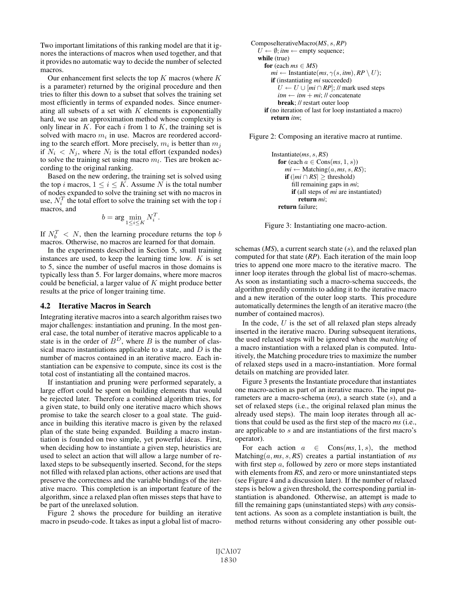Two important limitations of this ranking model are that it ignores the interactions of macros when used together, and that it provides no automatic way to decide the number of selected macros.

Our enhancement first selects the top  $K$  macros (where  $K$ is a parameter) returned by the original procedure and then tries to filter this down to a subset that solves the training set most efficiently in terms of expanded nodes. Since enumerating all subsets of a set with  $K$  elements is exponentially hard, we use an approximation method whose complexity is only linear in  $K$ . For each  $i$  from 1 to  $K$ , the training set is solved with macro  $m_i$  in use. Macros are reordered according to the search effort. More precisely,  $m_i$  is better than  $m_i$ if  $N_i$  <  $N_j$ , where  $N_l$  is the total effort (expanded nodes) to solve the training set using macro  $m_l$ . Ties are broken according to the original ranking.

Based on the new ordering, the training set is solved using the top i macros,  $1 \le i \le K$ . Assume N is the total number of nodes expanded to solve the training set with no macros in use,  $N_i^T$  the total effort to solve the training set with the top i macros, and

$$
b = \arg\min_{1 \le i \le K} N_i^T.
$$

If  $N_b^T < N$ , then the learning procedure returns the top b macros. Otherwise, no macros are learned for that domain.

In the experiments described in Section 5, small training instances are used, to keep the learning time low.  $K$  is set to 5, since the number of useful macros in those domains is typically less than 5. For larger domains, where more macros could be beneficial, a larger value of  $K$  might produce better results at the price of longer training time.

#### 4.2 Iterative Macros in Search

Integrating iterative macros into a search algorithm raises two major challenges: instantiation and pruning. In the most general case, the total number of iterative macros applicable to a state is in the order of  $B<sup>D</sup>$ , where B is the number of classical macro instantiations applicable to a state, and  $D$  is the number of macros contained in an iterative macro. Each instantiation can be expensive to compute, since its cost is the total cost of instantiating all the contained macros.

If instantiation and pruning were performed separately, a large effort could be spent on building elements that would be rejected later. Therefore a combined algorithm tries, for a given state, to build only one iterative macro which shows promise to take the search closer to a goal state. The guidance in building this iterative macro is given by the relaxed plan of the state being expanded. Building a macro instantiation is founded on two simple, yet powerful ideas. First, when deciding how to instantiate a given step, heuristics are used to select an action that will allow a large number of relaxed steps to be subsequently inserted. Second, for the steps not filled with relaxed plan actions, other actions are used that preserve the correctness and the variable bindings of the iterative macro. This completion is an important feature of the algorithm, since a relaxed plan often misses steps that have to be part of the unrelaxed solution.

Figure 2 shows the procedure for building an iterative macro in pseudo-code. It takes as input a global list of macro-

```
ComposeIterativeMacro(MS, s, RP)
 U \leftarrow \emptyset; itm \leftarrow empty sequence;
 while (true)
   for (each ms \in MS)
      mi ← Instantiate(ms, \gamma(s,itm), RP \setminus U);
      if (instantiating mi succeeded)
          U \leftarrow U \cup [mi \cap RP]; // mark used steps
         \lim_{m \to \infty} \frac{1}{m} + mi; // concatenate
         break; // restart outer loop
    if (no iteration of last for loop instantiated a macro)
       return itm;
```
Figure 2: Composing an iterative macro at runtime.

```
Instantiate(ms, s, RS)
for (each a \in \text{Cons}(ms, 1, s))
   mi \leftarrow Matching(a, ms, s, RS);
   if (|mi \cap RS| ≥ threshold)
      fill remaining gaps in mi;
      if (all steps of mi are instantiated)
         return mi;
 return failure;
```
Figure 3: Instantiating one macro-action.

schemas (*MS*), a current search state (s), and the relaxed plan computed for that state (*RP*). Each iteration of the main loop tries to append one more macro to the iterative macro. The inner loop iterates through the global list of macro-schemas. As soon as instantiating such a macro-schema succeeds, the algorithm greedily commits to adding it to the iterative macro and a new iteration of the outer loop starts. This procedure automatically determines the length of an iterative macro (the number of contained macros).

In the code,  $U$  is the set of all relaxed plan steps already inserted in the iterative macro. During subsequent iterations, the used relaxed steps will be ignored when the *matching* of a macro instantiation with a relaxed plan is computed. Intuitively, the Matching procedure tries to maximize the number of relaxed steps used in a macro-instantiation. More formal details on matching are provided later.

Figure 3 presents the Instantiate procedure that instantiates one macro-action as part of an iterative macro. The input parameters are a macro-schema (*ms*), a search state (s), and a set of relaxed steps (i.e., the original relaxed plan minus the already used steps). The main loop iterates through all actions that could be used as the first step of the macro *ms* (i.e., are applicable to s and are instantiations of the first macro's operator).

For each action  $a \in \text{Cons}(ms, 1, s)$ , the method Matching $(a, ms, s, RS)$  creates a partial instantiation of *ms* with first step a, followed by zero or more steps instantiated with elements from *RS*, and zero or more uninstantiated steps (see Figure 4 and a discussion later). If the number of relaxed steps is below a given threshold, the corresponding partial instantiation is abandoned. Otherwise, an attempt is made to fill the remaining gaps (uninstantiated steps) with *any* consistent actions. As soon as a complete instantiation is built, the method returns without considering any other possible out-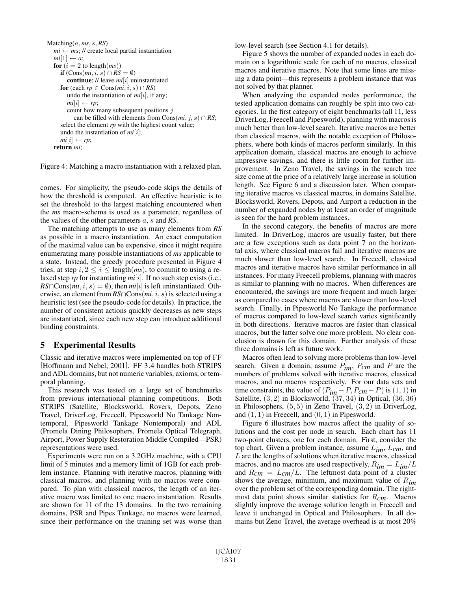```
Matching(a, ms, s, RS)
mi \leftarrow ms; // create local partial instantiation
mi[1] \leftarrow a;for (i = 2 to length(ms))
   if (Cons(mi, i, s) ∩ \overline{RS} = \emptyset)
      continue; // leave mi[i] uninstantiated
   for (each rp \in \text{Cons}(mi, i, s) \cap RS)
      undo the instantiation of mi[i], if any;
      mi[i] \leftarrow rp;count how many subsequent positions jcan be filled with elements from Cons(mi, j, s) \cap RS;select the element rp with the highest count value;
   undo the instantiation of mi[i];
   mi[i] \leftarrow rp;return mi;
```
Figure 4: Matching a macro instantiation with a relaxed plan.

comes. For simplicity, the pseudo-code skips the details of how the threshold is computed. An effective heuristic is to set the threshold to the largest matching encountered when the *ms* macro-schema is used as a parameter, regardless of the values of the other parameters a, s and *RS*.

The matching attempts to use as many elements from *RS* as possible in a macro instantiation. An exact computation of the maximal value can be expensive, since it might require enumerating many possible instantiations of *ms* applicable to a state. Instead, the greedy procedure presented in Figure 4 tries, at step  $i, 2 \le i \le \text{length}(ms)$ , to commit to using a relaxed step *rp* for instantiating *mi*[i]. If no such step exists (i.e.,  $RS \cap Cons(mi, i, s) = \emptyset$ , then *mi*[i] is left uninstantiated. Otherwise, an element from  $RS \cap Cons(mi, i, s)$  is selected using a heuristic test (see the pseudo-code for details). In practice, the number of consistent actions quickly decreases as new steps are instantiated, since each new step can introduce additional binding constraints.

### 5 Experimental Results

Classic and iterative macros were implemented on top of FF [Hoffmann and Nebel, 2001]. FF 3.4 handles both STRIPS and ADL domains, but not numeric variables, axioms, or temporal planning.

This research was tested on a large set of benchmarks from previous international planning competitions. Both STRIPS (Satellite, Blocksworld, Rovers, Depots, Zeno Travel, DriverLog, Freecell, Pipesworld No Tankage Nontemporal, Pipesworld Tankage Nontemporal) and ADL (Promela Dining Philosophers, Promela Optical Telegraph, Airport, Power Supply Restoration Middle Compiled—PSR) representations were used.

Experiments were run on a 3.2GHz machine, with a CPU limit of 5 minutes and a memory limit of 1GB for each problem instance. Planning with iterative macros, planning with classical macros, and planning with no macros were compared. To plan with classical macros, the length of an iterative macro was limited to one macro instantiation. Results are shown for 11 of the 13 domains. In the two remaining domains, PSR and Pipes Tankage, no macros were learned, since their performance on the training set was worse than low-level search (see Section 4.1 for details).

Figure 5 shows the number of expanded nodes in each domain on a logarithmic scale for each of no macros, classical macros and iterative macros. Note that some lines are missing a data point—this represents a problem instance that was not solved by that planner.

When analyzing the expanded nodes performance, the tested application domains can roughly be split into two categories. In the first category of eight benchmarks (all 11, less DriverLog, Freecell and Pipesworld), planning with macros is much better than low-level search. Iterative macros are better than classical macros, with the notable exception of Philosophers, where both kinds of macros perform similarly. In this application domain, classical macros are enough to achieve impressive savings, and there is little room for further improvement. In Zeno Travel, the savings in the search tree size come at the price of a relatively large increase in solution length. See Figure 6 and a discussion later. When comparing iterative macros vs classical macros, in domains Satellite, Blocksworld, Rovers, Depots, and Airport a reduction in the number of expanded nodes by at least an order of magnitude is seen for the hard problem instances.

In the second category, the benefits of macros are more limited. In DriverLog, macros are usually faster, but there are a few exceptions such as data point 7 on the horizontal axis, where classical macros fail and iterative macros are much slower than low-level search. In Freecell, classical macros and iterative macros have similar performance in all instances. For many Freecell problems, planning with macros is similar to planning with no macros. When differences are encountered, the savings are more frequent and much larger as compared to cases where macros are slower than low-level search. Finally, in Pipesworld No Tankage the performance of macros compared to low-level search varies significantly in both directions. Iterative macros are faster than classical macros, but the latter solve one more problem. No clear conclusion is drawn for this domain. Further analysis of these three domains is left as future work.

Macros often lead to solving more problems than low-level search. Given a domain, assume P*im*, P*cm* and P are the numbers of problems solved with iterative macros, classical macros, and no macros respectively. For our data sets and time constraints, the value of  $(P_{im} - P, P_{cm} - P)$  is  $(1, 1)$  in Satellite,  $(3, 2)$  in Blocksworld,  $(37, 34)$  in Optical,  $(36, 36)$ in Philosophers,  $(5, 5)$  in Zeno Travel,  $(3, 2)$  in DriverLog, and  $(1, 1)$  in Freecell, and  $(0, 1)$  in Pipesworld.

Figure 6 illustrates how macros affect the quality of solutions and the cost per node in search. Each chart has 11 two-point clusters, one for each domain. First, consider the top chart. Given a problem instance, assume L*im*, L*cm*, and L are the lengths of solutions when iterative macros, classical macros, and no macros are used respectively,  $R_{im} = L_{im}/L$ and  $R_{\text{cm}} = L_{\text{cm}}/L$ . The leftmost data point of a cluster shows the average, minimum, and maximum value of R*im* over the problem set of the corresponding domain. The rightmost data point shows similar statistics for R*cm*. Macros slightly improve the average solution length in Freecell and leave it unchanged in Optical and Philosophers. In all domains but Zeno Travel, the average overhead is at most 20%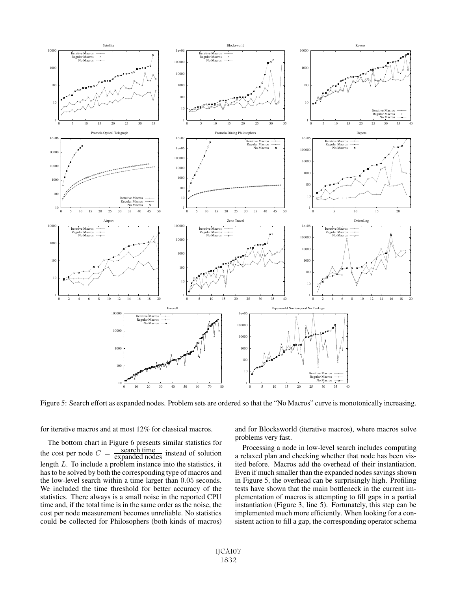

Figure 5: Search effort as expanded nodes. Problem sets are ordered so that the "No Macros" curve is monotonically increasing.

for iterative macros and at most 12% for classical macros.

The bottom chart in Figure 6 presents similar statistics for the cost per node  $C =$ search time<br>expanded nodes instead of solution length L. To include a problem instance into the statistics, it has to be solved by both the corresponding type of macros and the low-level search within a time larger than 0.05 seconds. We included the time threshold for better accuracy of the statistics. There always is a small noise in the reported CPU time and, if the total time is in the same order as the noise, the cost per node measurement becomes unreliable. No statistics could be collected for Philosophers (both kinds of macros) and for Blocksworld (iterative macros), where macros solve problems very fast.

Processing a node in low-level search includes computing a relaxed plan and checking whether that node has been visited before. Macros add the overhead of their instantiation. Even if much smaller than the expanded nodes savings shown in Figure 5, the overhead can be surprisingly high. Profiling tests have shown that the main bottleneck in the current implementation of macros is attempting to fill gaps in a partial instantiation (Figure 3, line 5). Fortunately, this step can be implemented much more efficiently. When looking for a consistent action to fill a gap, the corresponding operator schema